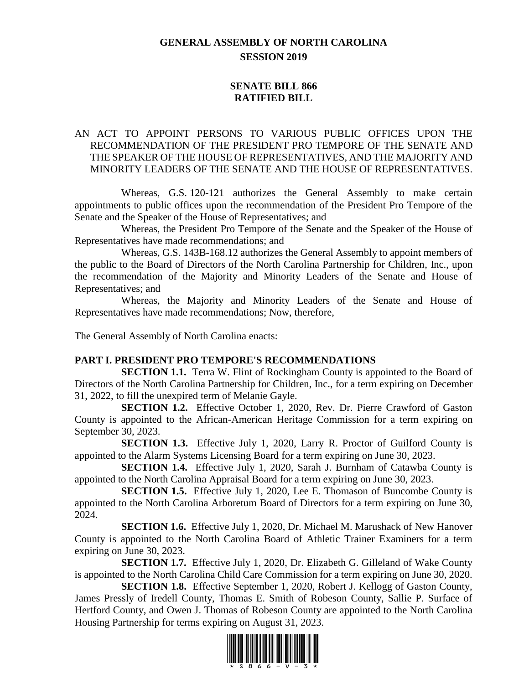# **GENERAL ASSEMBLY OF NORTH CAROLINA SESSION 2019**

## **SENATE BILL 866 RATIFIED BILL**

## AN ACT TO APPOINT PERSONS TO VARIOUS PUBLIC OFFICES UPON THE RECOMMENDATION OF THE PRESIDENT PRO TEMPORE OF THE SENATE AND THE SPEAKER OF THE HOUSE OF REPRESENTATIVES, AND THE MAJORITY AND MINORITY LEADERS OF THE SENATE AND THE HOUSE OF REPRESENTATIVES.

Whereas, G.S. 120-121 authorizes the General Assembly to make certain appointments to public offices upon the recommendation of the President Pro Tempore of the Senate and the Speaker of the House of Representatives; and

Whereas, the President Pro Tempore of the Senate and the Speaker of the House of Representatives have made recommendations; and

Whereas, G.S. 143B-168.12 authorizes the General Assembly to appoint members of the public to the Board of Directors of the North Carolina Partnership for Children, Inc., upon the recommendation of the Majority and Minority Leaders of the Senate and House of Representatives; and

Whereas, the Majority and Minority Leaders of the Senate and House of Representatives have made recommendations; Now, therefore,

The General Assembly of North Carolina enacts:

#### **PART I. PRESIDENT PRO TEMPORE'S RECOMMENDATIONS**

**SECTION 1.1.** Terra W. Flint of Rockingham County is appointed to the Board of Directors of the North Carolina Partnership for Children, Inc., for a term expiring on December 31, 2022, to fill the unexpired term of Melanie Gayle.

**SECTION 1.2.** Effective October 1, 2020, Rev. Dr. Pierre Crawford of Gaston County is appointed to the African-American Heritage Commission for a term expiring on September 30, 2023.

**SECTION 1.3.** Effective July 1, 2020, Larry R. Proctor of Guilford County is appointed to the Alarm Systems Licensing Board for a term expiring on June 30, 2023.

**SECTION 1.4.** Effective July 1, 2020, Sarah J. Burnham of Catawba County is appointed to the North Carolina Appraisal Board for a term expiring on June 30, 2023.

**SECTION 1.5.** Effective July 1, 2020, Lee E. Thomason of Buncombe County is appointed to the North Carolina Arboretum Board of Directors for a term expiring on June 30, 2024.

**SECTION 1.6.** Effective July 1, 2020, Dr. Michael M. Marushack of New Hanover County is appointed to the North Carolina Board of Athletic Trainer Examiners for a term expiring on June 30, 2023.

**SECTION 1.7.** Effective July 1, 2020, Dr. Elizabeth G. Gilleland of Wake County is appointed to the North Carolina Child Care Commission for a term expiring on June 30, 2020.

**SECTION 1.8.** Effective September 1, 2020, Robert J. Kellogg of Gaston County, James Pressly of Iredell County, Thomas E. Smith of Robeson County, Sallie P. Surface of Hertford County, and Owen J. Thomas of Robeson County are appointed to the North Carolina Housing Partnership for terms expiring on August 31, 2023.

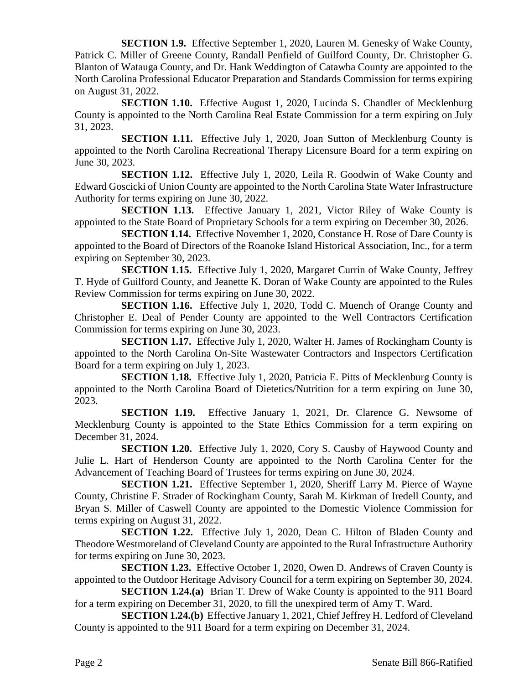**SECTION 1.9.** Effective September 1, 2020, Lauren M. Genesky of Wake County, Patrick C. Miller of Greene County, Randall Penfield of Guilford County, Dr. Christopher G. Blanton of Watauga County, and Dr. Hank Weddington of Catawba County are appointed to the North Carolina Professional Educator Preparation and Standards Commission for terms expiring on August 31, 2022.

**SECTION 1.10.** Effective August 1, 2020, Lucinda S. Chandler of Mecklenburg County is appointed to the North Carolina Real Estate Commission for a term expiring on July 31, 2023.

**SECTION 1.11.** Effective July 1, 2020, Joan Sutton of Mecklenburg County is appointed to the North Carolina Recreational Therapy Licensure Board for a term expiring on June 30, 2023.

**SECTION 1.12.** Effective July 1, 2020, Leila R. Goodwin of Wake County and Edward Goscicki of Union County are appointed to the North Carolina State Water Infrastructure Authority for terms expiring on June 30, 2022.

**SECTION 1.13.** Effective January 1, 2021, Victor Riley of Wake County is appointed to the State Board of Proprietary Schools for a term expiring on December 30, 2026.

**SECTION 1.14.** Effective November 1, 2020, Constance H. Rose of Dare County is appointed to the Board of Directors of the Roanoke Island Historical Association, Inc., for a term expiring on September 30, 2023.

**SECTION 1.15.** Effective July 1, 2020, Margaret Currin of Wake County, Jeffrey T. Hyde of Guilford County, and Jeanette K. Doran of Wake County are appointed to the Rules Review Commission for terms expiring on June 30, 2022.

**SECTION 1.16.** Effective July 1, 2020, Todd C. Muench of Orange County and Christopher E. Deal of Pender County are appointed to the Well Contractors Certification Commission for terms expiring on June 30, 2023.

**SECTION 1.17.** Effective July 1, 2020, Walter H. James of Rockingham County is appointed to the North Carolina On-Site Wastewater Contractors and Inspectors Certification Board for a term expiring on July 1, 2023.

**SECTION 1.18.** Effective July 1, 2020, Patricia E. Pitts of Mecklenburg County is appointed to the North Carolina Board of Dietetics/Nutrition for a term expiring on June 30, 2023.

**SECTION 1.19.** Effective January 1, 2021, Dr. Clarence G. Newsome of Mecklenburg County is appointed to the State Ethics Commission for a term expiring on December 31, 2024.

**SECTION 1.20.** Effective July 1, 2020, Cory S. Causby of Haywood County and Julie L. Hart of Henderson County are appointed to the North Carolina Center for the Advancement of Teaching Board of Trustees for terms expiring on June 30, 2024.

**SECTION 1.21.** Effective September 1, 2020, Sheriff Larry M. Pierce of Wayne County, Christine F. Strader of Rockingham County, Sarah M. Kirkman of Iredell County, and Bryan S. Miller of Caswell County are appointed to the Domestic Violence Commission for terms expiring on August 31, 2022.

**SECTION 1.22.** Effective July 1, 2020, Dean C. Hilton of Bladen County and Theodore Westmoreland of Cleveland County are appointed to the Rural Infrastructure Authority for terms expiring on June 30, 2023.

**SECTION 1.23.** Effective October 1, 2020, Owen D. Andrews of Craven County is appointed to the Outdoor Heritage Advisory Council for a term expiring on September 30, 2024.

**SECTION 1.24.(a)** Brian T. Drew of Wake County is appointed to the 911 Board for a term expiring on December 31, 2020, to fill the unexpired term of Amy T. Ward.

**SECTION 1.24.(b)** Effective January 1, 2021, Chief Jeffrey H. Ledford of Cleveland County is appointed to the 911 Board for a term expiring on December 31, 2024.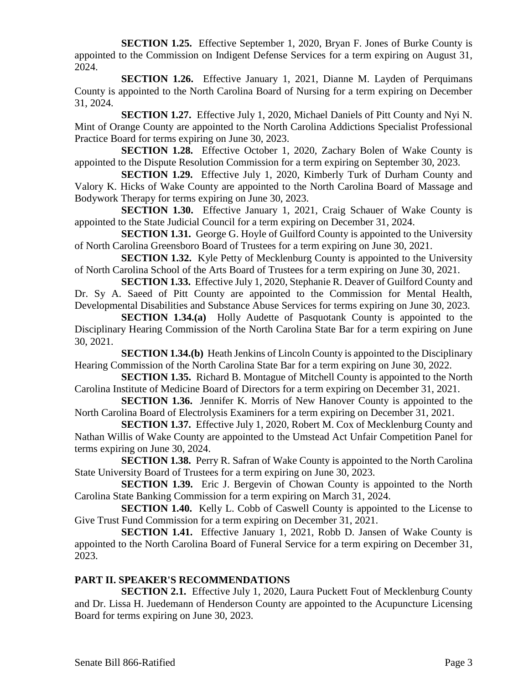**SECTION 1.25.** Effective September 1, 2020, Bryan F. Jones of Burke County is appointed to the Commission on Indigent Defense Services for a term expiring on August 31, 2024.

**SECTION 1.26.** Effective January 1, 2021, Dianne M. Layden of Perquimans County is appointed to the North Carolina Board of Nursing for a term expiring on December 31, 2024.

**SECTION 1.27.** Effective July 1, 2020, Michael Daniels of Pitt County and Nyi N. Mint of Orange County are appointed to the North Carolina Addictions Specialist Professional Practice Board for terms expiring on June 30, 2023.

**SECTION 1.28.** Effective October 1, 2020, Zachary Bolen of Wake County is appointed to the Dispute Resolution Commission for a term expiring on September 30, 2023.

**SECTION 1.29.** Effective July 1, 2020, Kimberly Turk of Durham County and Valory K. Hicks of Wake County are appointed to the North Carolina Board of Massage and Bodywork Therapy for terms expiring on June 30, 2023.

**SECTION 1.30.** Effective January 1, 2021, Craig Schauer of Wake County is appointed to the State Judicial Council for a term expiring on December 31, 2024.

**SECTION 1.31.** George G. Hoyle of Guilford County is appointed to the University of North Carolina Greensboro Board of Trustees for a term expiring on June 30, 2021.

**SECTION 1.32.** Kyle Petty of Mecklenburg County is appointed to the University of North Carolina School of the Arts Board of Trustees for a term expiring on June 30, 2021.

**SECTION 1.33.** Effective July 1, 2020, Stephanie R. Deaver of Guilford County and Dr. Sy A. Saeed of Pitt County are appointed to the Commission for Mental Health, Developmental Disabilities and Substance Abuse Services for terms expiring on June 30, 2023.

**SECTION 1.34.(a)** Holly Audette of Pasquotank County is appointed to the Disciplinary Hearing Commission of the North Carolina State Bar for a term expiring on June 30, 2021.

**SECTION 1.34.(b)** Heath Jenkins of Lincoln County is appointed to the Disciplinary Hearing Commission of the North Carolina State Bar for a term expiring on June 30, 2022.

**SECTION 1.35.** Richard B. Montague of Mitchell County is appointed to the North Carolina Institute of Medicine Board of Directors for a term expiring on December 31, 2021.

**SECTION 1.36.** Jennifer K. Morris of New Hanover County is appointed to the North Carolina Board of Electrolysis Examiners for a term expiring on December 31, 2021.

**SECTION 1.37.** Effective July 1, 2020, Robert M. Cox of Mecklenburg County and Nathan Willis of Wake County are appointed to the Umstead Act Unfair Competition Panel for terms expiring on June 30, 2024.

**SECTION 1.38.** Perry R. Safran of Wake County is appointed to the North Carolina State University Board of Trustees for a term expiring on June 30, 2023.

**SECTION 1.39.** Eric J. Bergevin of Chowan County is appointed to the North Carolina State Banking Commission for a term expiring on March 31, 2024.

**SECTION 1.40.** Kelly L. Cobb of Caswell County is appointed to the License to Give Trust Fund Commission for a term expiring on December 31, 2021.

**SECTION 1.41.** Effective January 1, 2021, Robb D. Jansen of Wake County is appointed to the North Carolina Board of Funeral Service for a term expiring on December 31, 2023.

## **PART II. SPEAKER'S RECOMMENDATIONS**

**SECTION 2.1.** Effective July 1, 2020, Laura Puckett Fout of Mecklenburg County and Dr. Lissa H. Juedemann of Henderson County are appointed to the Acupuncture Licensing Board for terms expiring on June 30, 2023.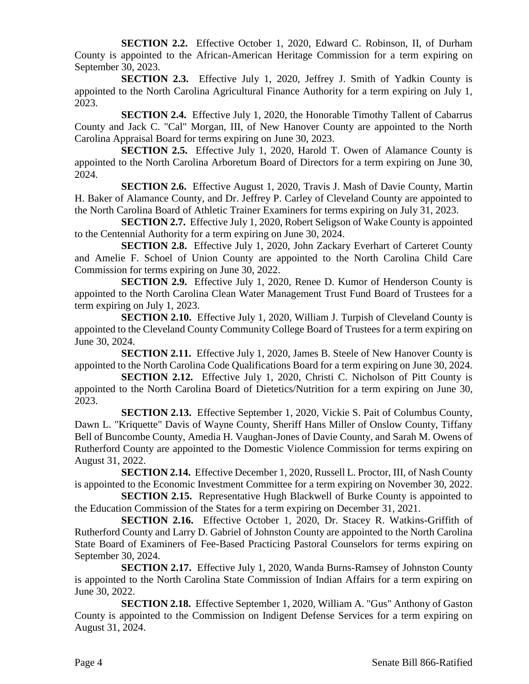**SECTION 2.2.** Effective October 1, 2020, Edward C. Robinson, II, of Durham County is appointed to the African-American Heritage Commission for a term expiring on September 30, 2023.

**SECTION 2.3.** Effective July 1, 2020, Jeffrey J. Smith of Yadkin County is appointed to the North Carolina Agricultural Finance Authority for a term expiring on July 1, 2023.

**SECTION 2.4.** Effective July 1, 2020, the Honorable Timothy Tallent of Cabarrus County and Jack C. "Cal" Morgan, III, of New Hanover County are appointed to the North Carolina Appraisal Board for terms expiring on June 30, 2023.

**SECTION 2.5.** Effective July 1, 2020, Harold T. Owen of Alamance County is appointed to the North Carolina Arboretum Board of Directors for a term expiring on June 30, 2024.

**SECTION 2.6.** Effective August 1, 2020, Travis J. Mash of Davie County, Martin H. Baker of Alamance County, and Dr. Jeffrey P. Carley of Cleveland County are appointed to the North Carolina Board of Athletic Trainer Examiners for terms expiring on July 31, 2023.

**SECTION 2.7.** Effective July 1, 2020, Robert Seligson of Wake County is appointed to the Centennial Authority for a term expiring on June 30, 2024.

**SECTION 2.8.** Effective July 1, 2020, John Zackary Everhart of Carteret County and Amelie F. Schoel of Union County are appointed to the North Carolina Child Care Commission for terms expiring on June 30, 2022.

**SECTION 2.9.** Effective July 1, 2020, Renee D. Kumor of Henderson County is appointed to the North Carolina Clean Water Management Trust Fund Board of Trustees for a term expiring on July 1, 2023.

**SECTION 2.10.** Effective July 1, 2020, William J. Turpish of Cleveland County is appointed to the Cleveland County Community College Board of Trustees for a term expiring on June 30, 2024.

**SECTION 2.11.** Effective July 1, 2020, James B. Steele of New Hanover County is appointed to the North Carolina Code Qualifications Board for a term expiring on June 30, 2024.

**SECTION 2.12.** Effective July 1, 2020, Christi C. Nicholson of Pitt County is appointed to the North Carolina Board of Dietetics/Nutrition for a term expiring on June 30, 2023.

**SECTION 2.13.** Effective September 1, 2020, Vickie S. Pait of Columbus County, Dawn L. "Kriquette" Davis of Wayne County, Sheriff Hans Miller of Onslow County, Tiffany Bell of Buncombe County, Amedia H. Vaughan-Jones of Davie County, and Sarah M. Owens of Rutherford County are appointed to the Domestic Violence Commission for terms expiring on August 31, 2022.

**SECTION 2.14.** Effective December 1, 2020, Russell L. Proctor, III, of Nash County is appointed to the Economic Investment Committee for a term expiring on November 30, 2022.

**SECTION 2.15.** Representative Hugh Blackwell of Burke County is appointed to the Education Commission of the States for a term expiring on December 31, 2021.

**SECTION 2.16.** Effective October 1, 2020, Dr. Stacey R. Watkins-Griffith of Rutherford County and Larry D. Gabriel of Johnston County are appointed to the North Carolina State Board of Examiners of Fee-Based Practicing Pastoral Counselors for terms expiring on September 30, 2024.

**SECTION 2.17.** Effective July 1, 2020, Wanda Burns-Ramsey of Johnston County is appointed to the North Carolina State Commission of Indian Affairs for a term expiring on June 30, 2022.

**SECTION 2.18.** Effective September 1, 2020, William A. "Gus" Anthony of Gaston County is appointed to the Commission on Indigent Defense Services for a term expiring on August 31, 2024.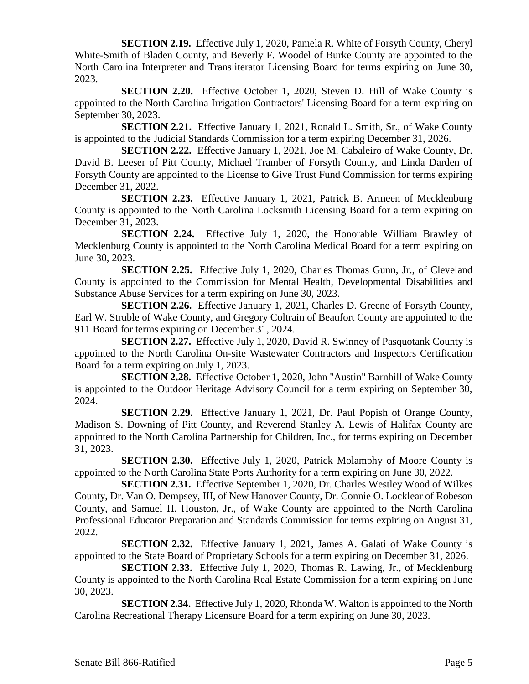**SECTION 2.19.** Effective July 1, 2020, Pamela R. White of Forsyth County, Cheryl White-Smith of Bladen County, and Beverly F. Woodel of Burke County are appointed to the North Carolina Interpreter and Transliterator Licensing Board for terms expiring on June 30, 2023.

**SECTION 2.20.** Effective October 1, 2020, Steven D. Hill of Wake County is appointed to the North Carolina Irrigation Contractors' Licensing Board for a term expiring on September 30, 2023.

**SECTION 2.21.** Effective January 1, 2021, Ronald L. Smith, Sr., of Wake County is appointed to the Judicial Standards Commission for a term expiring December 31, 2026.

**SECTION 2.22.** Effective January 1, 2021, Joe M. Cabaleiro of Wake County, Dr. David B. Leeser of Pitt County, Michael Tramber of Forsyth County, and Linda Darden of Forsyth County are appointed to the License to Give Trust Fund Commission for terms expiring December 31, 2022.

**SECTION 2.23.** Effective January 1, 2021, Patrick B. Armeen of Mecklenburg County is appointed to the North Carolina Locksmith Licensing Board for a term expiring on December 31, 2023.

**SECTION 2.24.** Effective July 1, 2020, the Honorable William Brawley of Mecklenburg County is appointed to the North Carolina Medical Board for a term expiring on June 30, 2023.

**SECTION 2.25.** Effective July 1, 2020, Charles Thomas Gunn, Jr., of Cleveland County is appointed to the Commission for Mental Health, Developmental Disabilities and Substance Abuse Services for a term expiring on June 30, 2023.

**SECTION 2.26.** Effective January 1, 2021, Charles D. Greene of Forsyth County, Earl W. Struble of Wake County, and Gregory Coltrain of Beaufort County are appointed to the 911 Board for terms expiring on December 31, 2024.

**SECTION 2.27.** Effective July 1, 2020, David R. Swinney of Pasquotank County is appointed to the North Carolina On-site Wastewater Contractors and Inspectors Certification Board for a term expiring on July 1, 2023.

**SECTION 2.28.** Effective October 1, 2020, John "Austin" Barnhill of Wake County is appointed to the Outdoor Heritage Advisory Council for a term expiring on September 30, 2024.

**SECTION 2.29.** Effective January 1, 2021, Dr. Paul Popish of Orange County, Madison S. Downing of Pitt County, and Reverend Stanley A. Lewis of Halifax County are appointed to the North Carolina Partnership for Children, Inc., for terms expiring on December 31, 2023.

**SECTION 2.30.** Effective July 1, 2020, Patrick Molamphy of Moore County is appointed to the North Carolina State Ports Authority for a term expiring on June 30, 2022.

**SECTION 2.31.** Effective September 1, 2020, Dr. Charles Westley Wood of Wilkes County, Dr. Van O. Dempsey, III, of New Hanover County, Dr. Connie O. Locklear of Robeson County, and Samuel H. Houston, Jr., of Wake County are appointed to the North Carolina Professional Educator Preparation and Standards Commission for terms expiring on August 31, 2022.

**SECTION 2.32.** Effective January 1, 2021, James A. Galati of Wake County is appointed to the State Board of Proprietary Schools for a term expiring on December 31, 2026.

**SECTION 2.33.** Effective July 1, 2020, Thomas R. Lawing, Jr., of Mecklenburg County is appointed to the North Carolina Real Estate Commission for a term expiring on June 30, 2023.

**SECTION 2.34.** Effective July 1, 2020, Rhonda W. Walton is appointed to the North Carolina Recreational Therapy Licensure Board for a term expiring on June 30, 2023.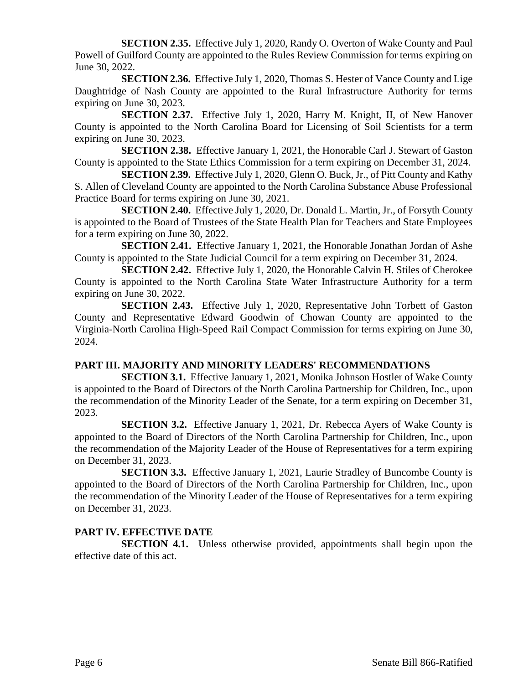**SECTION 2.35.** Effective July 1, 2020, Randy O. Overton of Wake County and Paul Powell of Guilford County are appointed to the Rules Review Commission for terms expiring on June 30, 2022.

**SECTION 2.36.** Effective July 1, 2020, Thomas S. Hester of Vance County and Lige Daughtridge of Nash County are appointed to the Rural Infrastructure Authority for terms expiring on June 30, 2023.

**SECTION 2.37.** Effective July 1, 2020, Harry M. Knight, II, of New Hanover County is appointed to the North Carolina Board for Licensing of Soil Scientists for a term expiring on June 30, 2023.

**SECTION 2.38.** Effective January 1, 2021, the Honorable Carl J. Stewart of Gaston County is appointed to the State Ethics Commission for a term expiring on December 31, 2024.

**SECTION 2.39.** Effective July 1, 2020, Glenn O. Buck, Jr., of Pitt County and Kathy S. Allen of Cleveland County are appointed to the North Carolina Substance Abuse Professional Practice Board for terms expiring on June 30, 2021.

**SECTION 2.40.** Effective July 1, 2020, Dr. Donald L. Martin, Jr., of Forsyth County is appointed to the Board of Trustees of the State Health Plan for Teachers and State Employees for a term expiring on June 30, 2022.

**SECTION 2.41.** Effective January 1, 2021, the Honorable Jonathan Jordan of Ashe County is appointed to the State Judicial Council for a term expiring on December 31, 2024.

**SECTION 2.42.** Effective July 1, 2020, the Honorable Calvin H. Stiles of Cherokee County is appointed to the North Carolina State Water Infrastructure Authority for a term expiring on June 30, 2022.

**SECTION 2.43.** Effective July 1, 2020, Representative John Torbett of Gaston County and Representative Edward Goodwin of Chowan County are appointed to the Virginia-North Carolina High-Speed Rail Compact Commission for terms expiring on June 30, 2024.

## **PART III. MAJORITY AND MINORITY LEADERS' RECOMMENDATIONS**

**SECTION 3.1.** Effective January 1, 2021, Monika Johnson Hostler of Wake County is appointed to the Board of Directors of the North Carolina Partnership for Children, Inc., upon the recommendation of the Minority Leader of the Senate, for a term expiring on December 31, 2023.

**SECTION 3.2.** Effective January 1, 2021, Dr. Rebecca Ayers of Wake County is appointed to the Board of Directors of the North Carolina Partnership for Children, Inc., upon the recommendation of the Majority Leader of the House of Representatives for a term expiring on December 31, 2023.

**SECTION 3.3.** Effective January 1, 2021, Laurie Stradley of Buncombe County is appointed to the Board of Directors of the North Carolina Partnership for Children, Inc., upon the recommendation of the Minority Leader of the House of Representatives for a term expiring on December 31, 2023.

## **PART IV. EFFECTIVE DATE**

**SECTION 4.1.** Unless otherwise provided, appointments shall begin upon the effective date of this act.